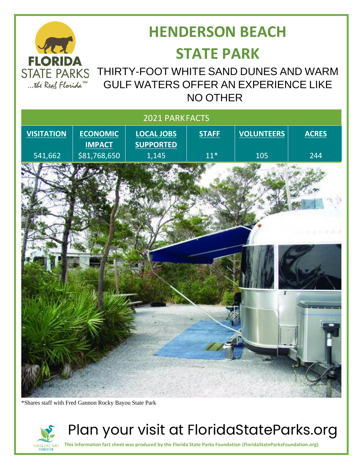

# **HENDERSON BEACH STATE PARK**

### STATE PARKS THIRTY-FOOT WHITE SAND DUNES AND WARM GULF WATERS OFFER AN EXPERIENCE LIKE NO OTHER



\*Shares staff with Fred Gannon Rocky Bayou State Park

FLORIDA STATE PARKS<br>Foundation



**This information fact sheet was produced by the Florida State Parks Foundation (FloridaStateParksFoundation.org)**